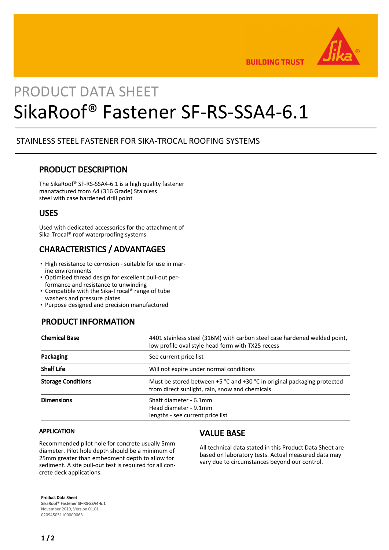

**BUILDING TRUST** 

# PRODUCT DATA SHEET SikaRoof® Fastener SF-RS-SSA4-6.1

### STAINLESS STEEL FASTENER FOR SIKA-TROCAL ROOFING SYSTEMS

#### PRODUCT DESCRIPTION

The SikaRoof® SF-RS-SSA4-6.1 is a high quality fastener manafactured from A4 (316 Grade) Stainless steel with case hardened drill point

#### USES

Used with dedicated accessories for the attachment of Sika-Trocal® roof waterproofing systems

# CHARACTERISTICS / ADVANTAGES

- **.** High resistance to corrosion suitable for use in marine environments
- Optimised thread design for excellent pull-out per-▪ formance and resistance to unwinding
- Compatible with the Sika-Trocal® range of tube washers and pressure plates
- Purpose designed and precision manufactured

## PRODUCT INFORMATION

| <b>Chemical Base</b>      | 4401 stainless steel (316M) with carbon steel case hardened welded point,<br>low profile oval style head form with TX25 recess |
|---------------------------|--------------------------------------------------------------------------------------------------------------------------------|
| Packaging                 | See current price list                                                                                                         |
| <b>Shelf Life</b>         | Will not expire under normal conditions                                                                                        |
| <b>Storage Conditions</b> | Must be stored between $+5$ °C and $+30$ °C in original packaging protected<br>from direct sunlight, rain, snow and chemicals  |
| <b>Dimensions</b>         | Shaft diameter - 6.1mm<br>Head diameter - 9.1mm<br>lengths - see current price list                                            |

#### APPLICATION

Recommended pilot hole for concrete usually 5mm diameter. Pilot hole depth should be a minimum of 25mm greater than embedment depth to allow for sediment. A site pull-out test is required for all concrete deck applications.

#### VALUE BASE

All technical data stated in this Product Data Sheet are based on laboratory tests. Actual measured data may vary due to circumstances beyond our control.

Product Data Sheet SikaRoof® Fastener SF-RS-SSA4-6.1

November 2019, Version 01.01 020945051100000063